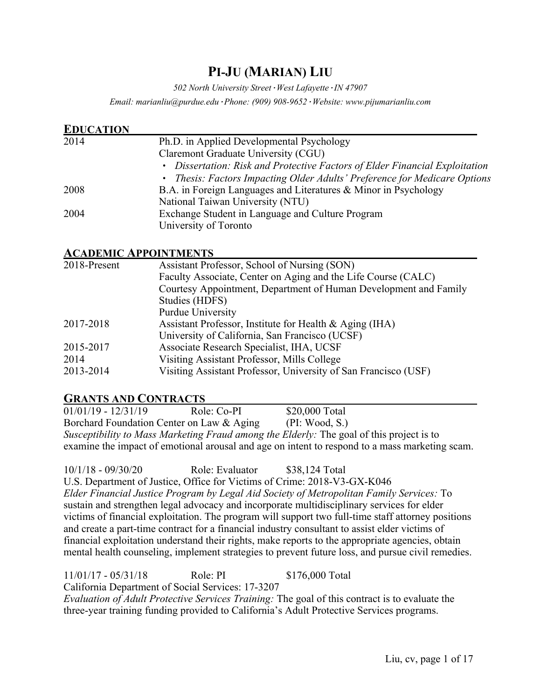# **PI-JU (MARIAN) LIU**

*502 North University Street·West Lafayette·IN 47907*

*Email: marianliu@purdue.edu·Phone: (909) 908-9652·Website: www.pijumarianliu.com*

| <b>EDUCATION</b> |                                                                             |
|------------------|-----------------------------------------------------------------------------|
| 2014             | Ph.D. in Applied Developmental Psychology                                   |
|                  | Claremont Graduate University (CGU)                                         |
|                  | • Dissertation: Risk and Protective Factors of Elder Financial Exploitation |
|                  | • Thesis: Factors Impacting Older Adults' Preference for Medicare Options   |
| 2008             | B.A. in Foreign Languages and Literatures & Minor in Psychology             |
|                  | National Taiwan University (NTU)                                            |
| 2004             | Exchange Student in Language and Culture Program                            |
|                  | University of Toronto                                                       |

#### **ACADEMIC APPOINTMENTS**

| 2018-Present | Assistant Professor, School of Nursing (SON)                     |  |
|--------------|------------------------------------------------------------------|--|
|              | Faculty Associate, Center on Aging and the Life Course (CALC)    |  |
|              | Courtesy Appointment, Department of Human Development and Family |  |
|              | Studies (HDFS)                                                   |  |
|              | Purdue University                                                |  |
| 2017-2018    | Assistant Professor, Institute for Health & Aging (IHA)          |  |
|              | University of California, San Francisco (UCSF)                   |  |
| 2015-2017    | Associate Research Specialist, IHA, UCSF                         |  |
| 2014         | Visiting Assistant Professor, Mills College                      |  |
| 2013-2014    | Visiting Assistant Professor, University of San Francisco (USF)  |  |

#### **GRANTS AND CONTRACTS**

01/01/19 - 12/31/19 Role: Co-PI \$20,000 Total Borchard Foundation Center on Law & Aging (PI: Wood, S.) *Susceptibility to Mass Marketing Fraud among the Elderly:* The goal of this project is to examine the impact of emotional arousal and age on intent to respond to a mass marketing scam.

10/1/18 - 09/30/20 Role: Evaluator \$38,124 Total U.S. Department of Justice, Office for Victims of Crime: 2018-V3-GX-K046 *Elder Financial Justice Program by Legal Aid Society of Metropolitan Family Services:* To sustain and strengthen legal advocacy and incorporate multidisciplinary services for elder victims of financial exploitation. The program will support two full-time staff attorney positions and create a part-time contract for a financial industry consultant to assist elder victims of financial exploitation understand their rights, make reports to the appropriate agencies, obtain mental health counseling, implement strategies to prevent future loss, and pursue civil remedies.

11/01/17 - 05/31/18 Role: PI \$176,000 Total California Department of Social Services: 17-3207 *Evaluation of Adult Protective Services Training:* The goal of this contract is to evaluate the three-year training funding provided to California's Adult Protective Services programs.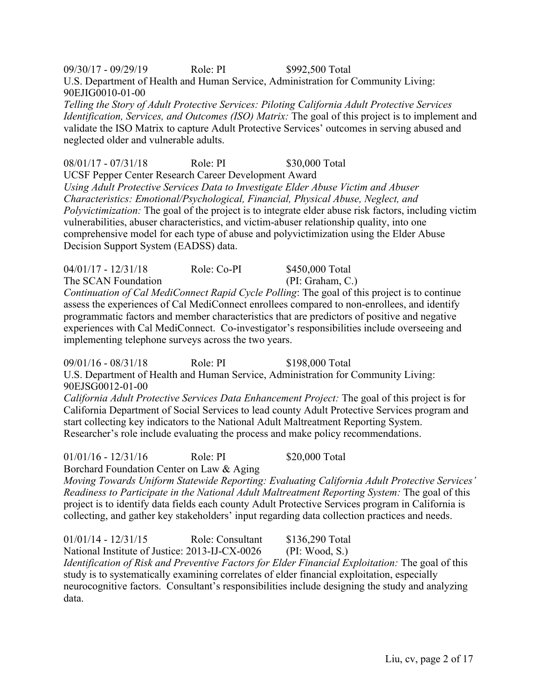09/30/17 - 09/29/19 Role: PI \$992,500 Total U.S. Department of Health and Human Service, Administration for Community Living: 90EJIG0010-01-00

*Telling the Story of Adult Protective Services: Piloting California Adult Protective Services Identification, Services, and Outcomes (ISO) Matrix:* The goal of this project is to implement and validate the ISO Matrix to capture Adult Protective Services' outcomes in serving abused and neglected older and vulnerable adults.

08/01/17 - 07/31/18 Role: PI \$30,000 Total

UCSF Pepper Center Research Career Development Award

*Using Adult Protective Services Data to Investigate Elder Abuse Victim and Abuser Characteristics: Emotional/Psychological, Financial, Physical Abuse, Neglect, and Polyvictimization:* The goal of the project is to integrate elder abuse risk factors, including victim vulnerabilities, abuser characteristics, and victim-abuser relationship quality, into one comprehensive model for each type of abuse and polyvictimization using the Elder Abuse Decision Support System (EADSS) data.

04/01/17 - 12/31/18 Role: Co-PI \$450,000 Total The SCAN Foundation (PI: Graham, C.) *Continuation of Cal MediConnect Rapid Cycle Polling*: The goal of this project is to continue assess the experiences of Cal MediConnect enrollees compared to non-enrollees, and identify programmatic factors and member characteristics that are predictors of positive and negative experiences with Cal MediConnect. Co-investigator's responsibilities include overseeing and implementing telephone surveys across the two years.

09/01/16 - 08/31/18 Role: PI \$198,000 Total U.S. Department of Health and Human Service, Administration for Community Living: 90EJSG0012-01-00

*California Adult Protective Services Data Enhancement Project:* The goal of this project is for California Department of Social Services to lead county Adult Protective Services program and start collecting key indicators to the National Adult Maltreatment Reporting System. Researcher's role include evaluating the process and make policy recommendations.

01/01/16 - 12/31/16 Role: PI \$20,000 Total

Borchard Foundation Center on Law & Aging

*Moving Towards Uniform Statewide Reporting: Evaluating California Adult Protective Services' Readiness to Participate in the National Adult Maltreatment Reporting System:* The goal of this project is to identify data fields each county Adult Protective Services program in California is collecting, and gather key stakeholders' input regarding data collection practices and needs.

01/01/14 - 12/31/15 Role: Consultant \$136,290 Total National Institute of Justice: 2013-IJ-CX-0026 (PI: Wood, S.) *Identification of Risk and Preventive Factors for Elder Financial Exploitation: The goal of this* study is to systematically examining correlates of elder financial exploitation, especially neurocognitive factors. Consultant's responsibilities include designing the study and analyzing data.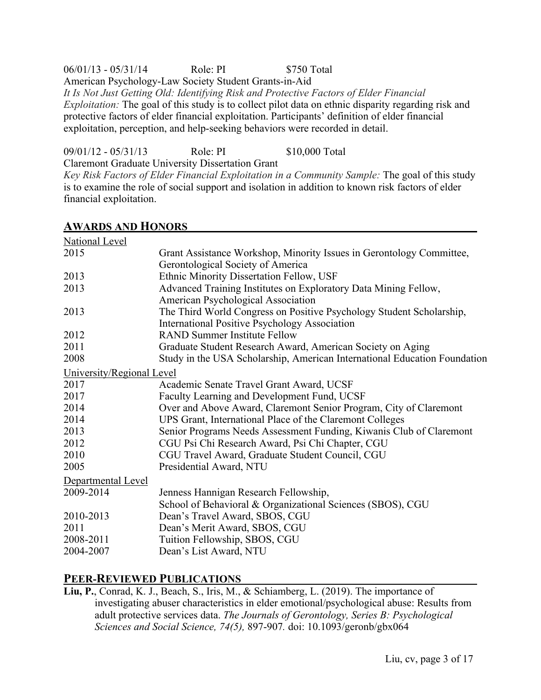06/01/13 - 05/31/14 Role: PI \$750 Total American Psychology-Law Society Student Grants-in-Aid *It Is Not Just Getting Old: Identifying Risk and Protective Factors of Elder Financial Exploitation:* The goal of this study is to collect pilot data on ethnic disparity regarding risk and protective factors of elder financial exploitation. Participants' definition of elder financial exploitation, perception, and help-seeking behaviors were recorded in detail.

09/01/12 - 05/31/13 Role: PI \$10,000 Total

Claremont Graduate University Dissertation Grant

*Key Risk Factors of Elder Financial Exploitation in a Community Sample:* The goal of this study is to examine the role of social support and isolation in addition to known risk factors of elder financial exploitation.

| <b>National Level</b>     |                                                                           |
|---------------------------|---------------------------------------------------------------------------|
| 2015                      | Grant Assistance Workshop, Minority Issues in Gerontology Committee,      |
|                           | Gerontological Society of America                                         |
| 2013                      | Ethnic Minority Dissertation Fellow, USF                                  |
| 2013                      | Advanced Training Institutes on Exploratory Data Mining Fellow,           |
|                           | American Psychological Association                                        |
| 2013                      | The Third World Congress on Positive Psychology Student Scholarship,      |
|                           | <b>International Positive Psychology Association</b>                      |
| 2012                      | <b>RAND Summer Institute Fellow</b>                                       |
| 2011                      | Graduate Student Research Award, American Society on Aging                |
| 2008                      | Study in the USA Scholarship, American International Education Foundation |
| University/Regional Level |                                                                           |
| 2017                      | Academic Senate Travel Grant Award, UCSF                                  |
| 2017                      | Faculty Learning and Development Fund, UCSF                               |
| 2014                      | Over and Above Award, Claremont Senior Program, City of Claremont         |
| 2014                      | UPS Grant, International Place of the Claremont Colleges                  |
| 2013                      | Senior Programs Needs Assessment Funding, Kiwanis Club of Claremont       |
| 2012                      | CGU Psi Chi Research Award, Psi Chi Chapter, CGU                          |
| 2010                      | CGU Travel Award, Graduate Student Council, CGU                           |
| 2005                      | Presidential Award, NTU                                                   |
| Departmental Level        |                                                                           |
| 2009-2014                 | Jenness Hannigan Research Fellowship,                                     |
|                           | School of Behavioral & Organizational Sciences (SBOS), CGU                |
| 2010-2013                 | Dean's Travel Award, SBOS, CGU                                            |
| 2011                      | Dean's Merit Award, SBOS, CGU                                             |
| 2008-2011                 | Tuition Fellowship, SBOS, CGU                                             |
| 2004-2007                 | Dean's List Award, NTU                                                    |
|                           |                                                                           |

#### **AWARDS AND HONORS**

### **PEER-REVIEWED PUBLICATIONS**

**Liu, P.**, Conrad, K. J., Beach, S., Iris, M., & Schiamberg, L. (2019). The importance of investigating abuser characteristics in elder emotional/psychological abuse: Results from adult protective services data. *The Journals of Gerontology, Series B: Psychological Sciences and Social Science, 74(5),* 897-907*.* doi: 10.1093/geronb/gbx064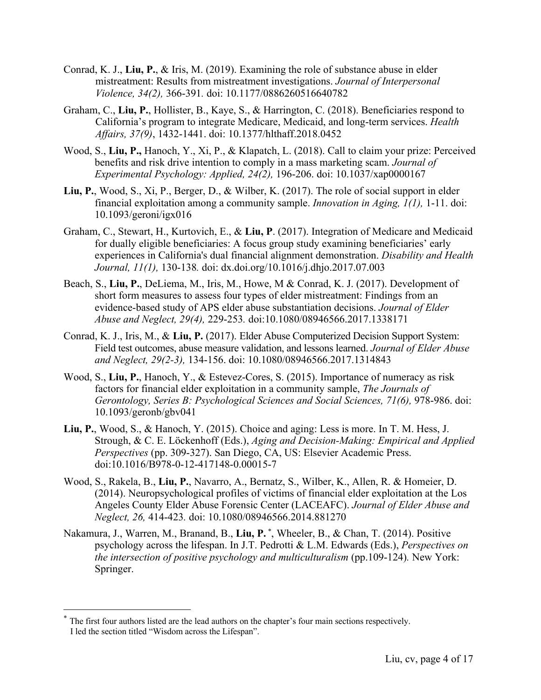- Conrad, K. J., **Liu, P.**, & Iris, M. (2019). Examining the role of substance abuse in elder mistreatment: Results from mistreatment investigations. *Journal of Interpersonal Violence, 34(2),* 366-391*.* doi: 10.1177/0886260516640782
- Graham, C., **Liu, P.**, Hollister, B., Kaye, S., & Harrington, C. (2018). Beneficiaries respond to California's program to integrate Medicare, Medicaid, and long-term services. *Health Affairs, 37(9)*, 1432-1441. doi: 10.1377/hlthaff.2018.0452
- Wood, S., **Liu, P.,** Hanoch, Y., Xi, P., & Klapatch, L. (2018). Call to claim your prize: Perceived benefits and risk drive intention to comply in a mass marketing scam. *Journal of Experimental Psychology: Applied, 24(2),* 196-206. doi: 10.1037/xap0000167
- **Liu, P.**, Wood, S., Xi, P., Berger, D., & Wilber, K. (2017). The role of social support in elder financial exploitation among a community sample. *Innovation in Aging, 1(1),* 1-11. doi: 10.1093/geroni/igx016
- Graham, C., Stewart, H., Kurtovich, E., & **Liu, P**. (2017). Integration of Medicare and Medicaid for dually eligible beneficiaries: A focus group study examining beneficiaries' early experiences in California's dual financial alignment demonstration. *Disability and Health Journal, 11(1),* 130-138*.* doi: dx.doi.org/10.1016/j.dhjo.2017.07.003
- Beach, S., **Liu, P.**, DeLiema, M., Iris, M., Howe, M & Conrad, K. J. (2017). Development of short form measures to assess four types of elder mistreatment: Findings from an evidence-based study of APS elder abuse substantiation decisions. *Journal of Elder Abuse and Neglect, 29(4),* 229-253*.* doi:10.1080/08946566.2017.1338171
- Conrad, K. J., Iris, M., & **Liu, P.** (2017). Elder Abuse Computerized Decision Support System: Field test outcomes, abuse measure validation, and lessons learned. *Journal of Elder Abuse and Neglect, 29(2-3),* 134-156. doi: 10.1080/08946566.2017.1314843
- Wood, S., **Liu, P.**, Hanoch, Y., & Estevez-Cores, S. (2015). Importance of numeracy as risk factors for financial elder exploitation in a community sample, *The Journals of Gerontology, Series B: Psychological Sciences and Social Sciences, 71(6),* 978-986. doi: 10.1093/geronb/gbv041
- **Liu, P.**, Wood, S., & Hanoch, Y. (2015). Choice and aging: Less is more. In T. M. Hess, J. Strough, & C. E. Löckenhoff (Eds.), *Aging and Decision-Making: Empirical and Applied Perspectives* (pp. 309-327). San Diego, CA, US: Elsevier Academic Press. doi:10.1016/B978-0-12-417148-0.00015-7
- Wood, S., Rakela, B., **Liu, P.**, Navarro, A., Bernatz, S., Wilber, K., Allen, R. & Homeier, D. (2014). Neuropsychological profiles of victims of financial elder exploitation at the Los Angeles County Elder Abuse Forensic Center (LACEAFC). *Journal of Elder Abuse and Neglect, 26,* 414-423*.* doi: 10.1080/08946566.2014.881270
- Nakamura, J., Warren, M., Branand, B., Liu, P.<sup>\*</sup>, Wheeler, B., & Chan, T. (2014). Positive psychology across the lifespan. In J.T. Pedrotti & L.M. Edwards (Eds.), *Perspectives on the intersection of positive psychology and multiculturalism* (pp.109-124)*.* New York: Springer.

The first four authors listed are the lead authors on the chapter's four main sections respectively. I led the section titled "Wisdom across the Lifespan".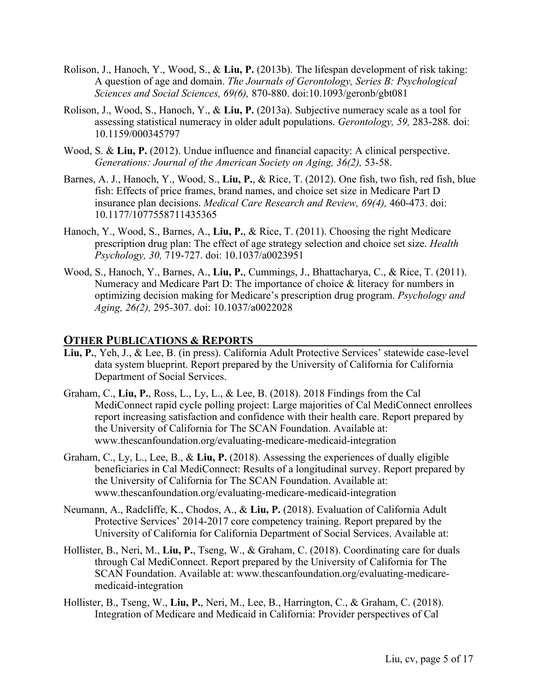- Rolison, J., Hanoch, Y., Wood, S., & **Liu, P.** (2013b). The lifespan development of risk taking: A question of age and domain. *The Journals of Gerontology, Series B: Psychological Sciences and Social Sciences, 69(6),* 870-880. doi:10.1093/geronb/gbt081
- Rolison, J., Wood, S., Hanoch, Y., & **Liu, P.** (2013a). Subjective numeracy scale as a tool for assessing statistical numeracy in older adult populations. *Gerontology, 59,* 283-288*.* doi: 10.1159/000345797
- Wood, S. & Liu, P. (2012). Undue influence and financial capacity: A clinical perspective. *Generations: Journal of the American Society on Aging, 36(2),* 53-58.
- Barnes, A. J., Hanoch, Y., Wood, S., **Liu, P.**, & Rice, T. (2012). One fish, two fish, red fish, blue fish: Effects of price frames, brand names, and choice set size in Medicare Part D insurance plan decisions. *Medical Care Research and Review, 69(4),* 460-473. doi: 10.1177/1077558711435365
- Hanoch, Y., Wood, S., Barnes, A., **Liu, P.**, & Rice, T. (2011). Choosing the right Medicare prescription drug plan: The effect of age strategy selection and choice set size. *Health Psychology, 30,* 719-727. doi: 10.1037/a0023951
- Wood, S., Hanoch, Y., Barnes, A., **Liu, P.**, Cummings, J., Bhattacharya, C., & Rice, T. (2011). Numeracy and Medicare Part D: The importance of choice & literacy for numbers in optimizing decision making for Medicare's prescription drug program. *Psychology and Aging, 26(2),* 295-307. doi: 10.1037/a0022028

#### **OTHER PUBLICATIONS & REPORTS**

- **Liu, P.**, Yeh, J., & Lee, B. (in press). California Adult Protective Services' statewide case-level data system blueprint. Report prepared by the University of California for California Department of Social Services.
- Graham, C., **Liu, P.**, Ross, L., Ly, L., & Lee, B. (2018). 2018 Findings from the Cal MediConnect rapid cycle polling project: Large majorities of Cal MediConnect enrollees report increasing satisfaction and confidence with their health care. Report prepared by the University of California for The SCAN Foundation. Available at: www.thescanfoundation.org/evaluating-medicare-medicaid-integration
- Graham, C., Ly, L., Lee, B., & **Liu, P.** (2018). Assessing the experiences of dually eligible beneficiaries in Cal MediConnect: Results of a longitudinal survey. Report prepared by the University of California for The SCAN Foundation. Available at: www.thescanfoundation.org/evaluating-medicare-medicaid-integration
- Neumann, A., Radcliffe, K., Chodos, A., & **Liu, P.** (2018). Evaluation of California Adult Protective Services' 2014-2017 core competency training. Report prepared by the University of California for California Department of Social Services. Available at:
- Hollister, B., Neri, M., **Liu, P.**, Tseng, W., & Graham, C. (2018). Coordinating care for duals through Cal MediConnect. Report prepared by the University of California for The SCAN Foundation. Available at: www.thescanfoundation.org/evaluating-medicaremedicaid-integration
- Hollister, B., Tseng, W., **Liu, P.**, Neri, M., Lee, B., Harrington, C., & Graham, C. (2018). Integration of Medicare and Medicaid in California: Provider perspectives of Cal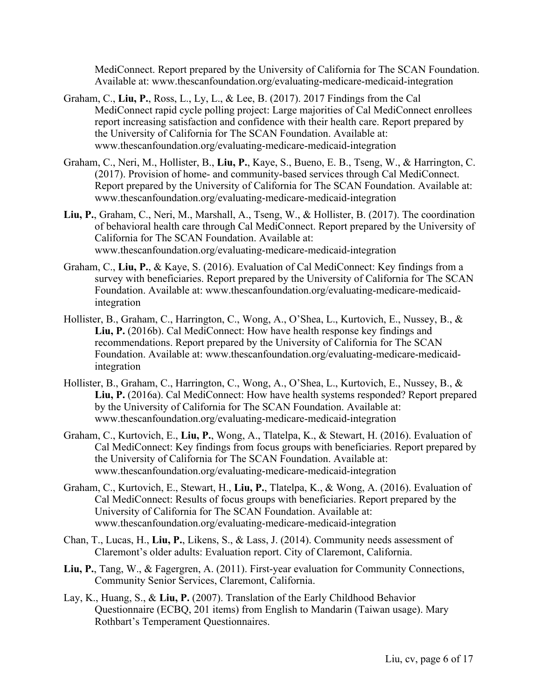MediConnect. Report prepared by the University of California for The SCAN Foundation. Available at: www.thescanfoundation.org/evaluating-medicare-medicaid-integration

- Graham, C., **Liu, P.**, Ross, L., Ly, L., & Lee, B. (2017). 2017 Findings from the Cal MediConnect rapid cycle polling project: Large majorities of Cal MediConnect enrollees report increasing satisfaction and confidence with their health care. Report prepared by the University of California for The SCAN Foundation. Available at: www.thescanfoundation.org/evaluating-medicare-medicaid-integration
- Graham, C., Neri, M., Hollister, B., **Liu, P.**, Kaye, S., Bueno, E. B., Tseng, W., & Harrington, C. (2017). Provision of home- and community-based services through Cal MediConnect. Report prepared by the University of California for The SCAN Foundation. Available at: www.thescanfoundation.org/evaluating-medicare-medicaid-integration
- **Liu, P.**, Graham, C., Neri, M., Marshall, A., Tseng, W., & Hollister, B. (2017). The coordination of behavioral health care through Cal MediConnect. Report prepared by the University of California for The SCAN Foundation. Available at: www.thescanfoundation.org/evaluating-medicare-medicaid-integration
- Graham, C., **Liu, P.**, & Kaye, S. (2016). Evaluation of Cal MediConnect: Key findings from a survey with beneficiaries. Report prepared by the University of California for The SCAN Foundation. Available at: www.thescanfoundation.org/evaluating-medicare-medicaidintegration
- Hollister, B., Graham, C., Harrington, C., Wong, A., O'Shea, L., Kurtovich, E., Nussey, B., & **Liu, P.** (2016b). Cal MediConnect: How have health response key findings and recommendations. Report prepared by the University of California for The SCAN Foundation. Available at: www.thescanfoundation.org/evaluating-medicare-medicaidintegration
- Hollister, B., Graham, C., Harrington, C., Wong, A., O'Shea, L., Kurtovich, E., Nussey, B., & **Liu, P.** (2016a). Cal MediConnect: How have health systems responded? Report prepared by the University of California for The SCAN Foundation. Available at: www.thescanfoundation.org/evaluating-medicare-medicaid-integration
- Graham, C., Kurtovich, E., **Liu, P.**, Wong, A., Tlatelpa, K., & Stewart, H. (2016). Evaluation of Cal MediConnect: Key findings from focus groups with beneficiaries. Report prepared by the University of California for The SCAN Foundation. Available at: www.thescanfoundation.org/evaluating-medicare-medicaid-integration
- Graham, C., Kurtovich, E., Stewart, H., **Liu, P.**, Tlatelpa, K., & Wong, A. (2016). Evaluation of Cal MediConnect: Results of focus groups with beneficiaries. Report prepared by the University of California for The SCAN Foundation. Available at: www.thescanfoundation.org/evaluating-medicare-medicaid-integration
- Chan, T., Lucas, H., **Liu, P.**, Likens, S., & Lass, J. (2014). Community needs assessment of Claremont's older adults: Evaluation report. City of Claremont, California.
- **Liu, P.**, Tang, W., & Fagergren, A. (2011). First-year evaluation for Community Connections, Community Senior Services, Claremont, California.
- Lay, K., Huang, S., & **Liu, P.** (2007). Translation of the Early Childhood Behavior Questionnaire (ECBQ, 201 items) from English to Mandarin (Taiwan usage). Mary Rothbart's Temperament Questionnaires.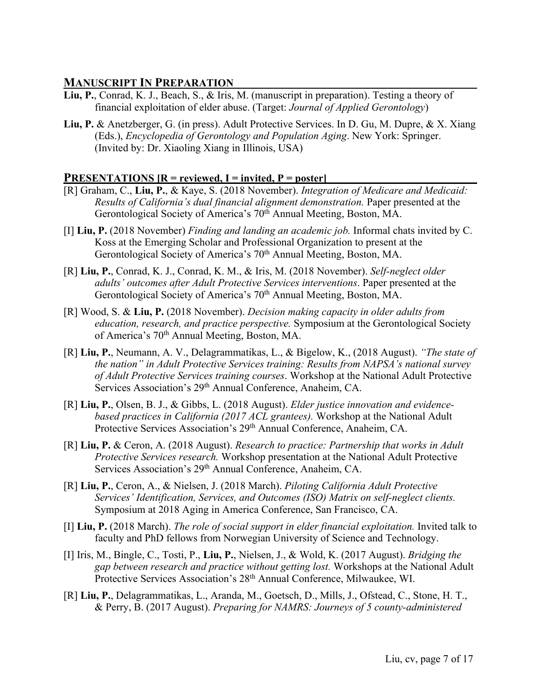### **MANUSCRIPT IN PREPARATION**

- **Liu, P.**, Conrad, K. J., Beach, S., & Iris, M. (manuscript in preparation). Testing a theory of financial exploitation of elder abuse. (Target: *Journal of Applied Gerontology*)
- **Liu, P.** & Anetzberger, G. (in press). Adult Protective Services. In D. Gu, M. Dupre, & X. Xiang (Eds.), *Encyclopedia of Gerontology and Population Aging*. New York: Springer. (Invited by: Dr. Xiaoling Xiang in Illinois, USA)

#### **PRESENTATIONS [R = reviewed, I = invited, P = poster]**

- [R] Graham, C., **Liu, P.**, & Kaye, S. (2018 November). *Integration of Medicare and Medicaid: Results of California's dual financial alignment demonstration.* Paper presented at the Gerontological Society of America's 70<sup>th</sup> Annual Meeting, Boston, MA.
- [I] **Liu, P.** (2018 November) *Finding and landing an academic job.* Informal chats invited by C. Koss at the Emerging Scholar and Professional Organization to present at the Gerontological Society of America's 70<sup>th</sup> Annual Meeting, Boston, MA.
- [R] **Liu, P.**, Conrad, K. J., Conrad, K. M., & Iris, M. (2018 November). *Self-neglect older adults' outcomes after Adult Protective Services interventions*. Paper presented at the Gerontological Society of America's 70<sup>th</sup> Annual Meeting, Boston, MA.
- [R] Wood, S. & **Liu, P.** (2018 November). *Decision making capacity in older adults from education, research, and practice perspective.* Symposium at the Gerontological Society of America's 70<sup>th</sup> Annual Meeting, Boston, MA.
- [R] **Liu, P.**, Neumann, A. V., Delagrammatikas, L., & Bigelow, K., (2018 August). *"The state of the nation" in Adult Protective Services training: Results from NAPSA's national survey of Adult Protective Services training courses*. Workshop at the National Adult Protective Services Association's 29th Annual Conference, Anaheim, CA.
- [R] **Liu, P.**, Olsen, B. J., & Gibbs, L. (2018 August). *Elder justice innovation and evidencebased practices in California (2017 ACL grantees).* Workshop at the National Adult Protective Services Association's 29<sup>th</sup> Annual Conference, Anaheim, CA.
- [R] **Liu, P.** & Ceron, A. (2018 August). *Research to practice: Partnership that works in Adult Protective Services research.* Workshop presentation at the National Adult Protective Services Association's 29<sup>th</sup> Annual Conference, Anaheim, CA.
- [R] **Liu, P.**, Ceron, A., & Nielsen, J. (2018 March). *Piloting California Adult Protective Services' Identification, Services, and Outcomes (ISO) Matrix on self-neglect clients.*  Symposium at 2018 Aging in America Conference, San Francisco, CA.
- [I] **Liu, P.** (2018 March). *The role of social support in elder financial exploitation.* Invited talk to faculty and PhD fellows from Norwegian University of Science and Technology.
- [I] Iris, M., Bingle, C., Tosti, P., **Liu, P.**, Nielsen, J., & Wold, K. (2017 August). *Bridging the gap between research and practice without getting lost.* Workshops at the National Adult Protective Services Association's 28th Annual Conference, Milwaukee, WI.
- [R] **Liu, P.**, Delagrammatikas, L., Aranda, M., Goetsch, D., Mills, J., Ofstead, C., Stone, H. T., & Perry, B. (2017 August). *Preparing for NAMRS: Journeys of 5 county-administered*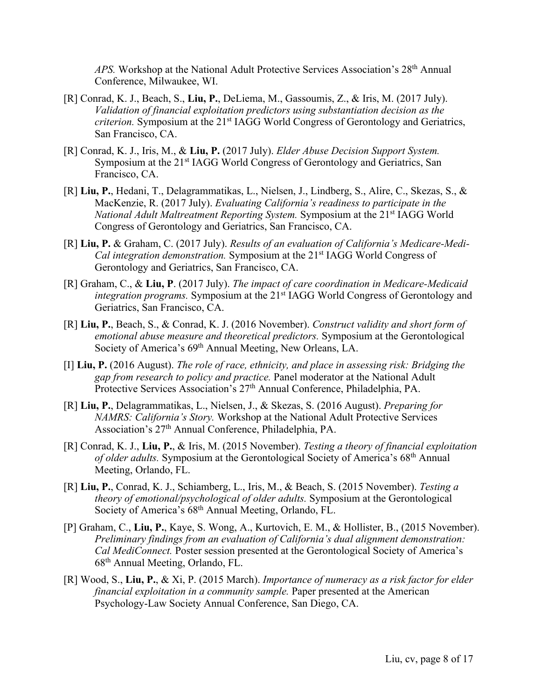*APS.* Workshop at the National Adult Protective Services Association's 28th Annual Conference, Milwaukee, WI.

- [R] Conrad, K. J., Beach, S., **Liu, P.**, DeLiema, M., Gassoumis, Z., & Iris, M. (2017 July). *Validation of financial exploitation predictors using substantiation decision as the criterion.* Symposium at the 21<sup>st</sup> IAGG World Congress of Gerontology and Geriatrics, San Francisco, CA.
- [R] Conrad, K. J., Iris, M., & **Liu, P.** (2017 July). *Elder Abuse Decision Support System.* Symposium at the 21<sup>st</sup> IAGG World Congress of Gerontology and Geriatrics, San Francisco, CA.
- [R] **Liu, P.**, Hedani, T., Delagrammatikas, L., Nielsen, J., Lindberg, S., Alire, C., Skezas, S., & MacKenzie, R. (2017 July). *Evaluating California's readiness to participate in the National Adult Maltreatment Reporting System.* Symposium at the 21<sup>st</sup> IAGG World Congress of Gerontology and Geriatrics, San Francisco, CA.
- [R] **Liu, P.** & Graham, C. (2017 July). *Results of an evaluation of California's Medicare-Medi-Cal integration demonstration.* Symposium at the 21st IAGG World Congress of Gerontology and Geriatrics, San Francisco, CA.
- [R] Graham, C., & **Liu, P**. (2017 July). *The impact of care coordination in Medicare-Medicaid integration programs.* Symposium at the 21st IAGG World Congress of Gerontology and Geriatrics, San Francisco, CA.
- [R] **Liu, P.**, Beach, S., & Conrad, K. J. (2016 November). *Construct validity and short form of emotional abuse measure and theoretical predictors.* Symposium at the Gerontological Society of America's 69<sup>th</sup> Annual Meeting, New Orleans, LA.
- [I] **Liu, P.** (2016 August). *The role of race, ethnicity, and place in assessing risk: Bridging the gap from research to policy and practice.* Panel moderator at the National Adult Protective Services Association's 27<sup>th</sup> Annual Conference, Philadelphia, PA.
- [R] **Liu, P.**, Delagrammatikas, L., Nielsen, J., & Skezas, S. (2016 August). *Preparing for NAMRS: California's Story.* Workshop at the National Adult Protective Services Association's 27th Annual Conference, Philadelphia, PA.
- [R] Conrad, K. J., **Liu, P.**, & Iris, M. (2015 November). *Testing a theory of financial exploitation of older adults.* Symposium at the Gerontological Society of America's 68th Annual Meeting, Orlando, FL.
- [R] **Liu, P.**, Conrad, K. J., Schiamberg, L., Iris, M., & Beach, S. (2015 November). *Testing a theory of emotional/psychological of older adults.* Symposium at the Gerontological Society of America's 68<sup>th</sup> Annual Meeting, Orlando, FL.
- [P] Graham, C., **Liu, P.**, Kaye, S. Wong, A., Kurtovich, E. M., & Hollister, B., (2015 November). *Preliminary findings from an evaluation of California's dual alignment demonstration: Cal MediConnect.* Poster session presented at the Gerontological Society of America's 68th Annual Meeting, Orlando, FL.
- [R] Wood, S., **Liu, P.**, & Xi, P. (2015 March). *Importance of numeracy as a risk factor for elder financial exploitation in a community sample.* Paper presented at the American Psychology-Law Society Annual Conference, San Diego, CA.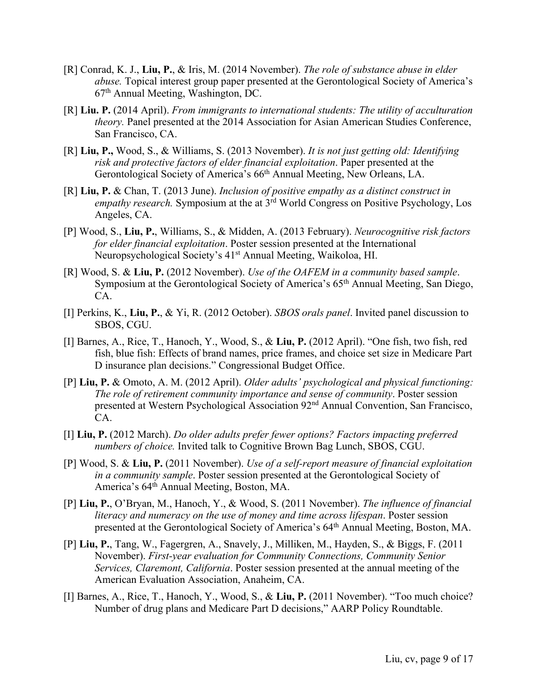- [R] Conrad, K. J., **Liu, P.**, & Iris, M. (2014 November). *The role of substance abuse in elder abuse.* Topical interest group paper presented at the Gerontological Society of America's 67th Annual Meeting, Washington, DC.
- [R] **Liu. P.** (2014 April). *From immigrants to international students: The utility of acculturation theory.* Panel presented at the 2014 Association for Asian American Studies Conference, San Francisco, CA.
- [R] **Liu, P.,** Wood, S., & Williams, S. (2013 November). *It is not just getting old: Identifying risk and protective factors of elder financial exploitation*. Paper presented at the Gerontological Society of America's 66th Annual Meeting, New Orleans, LA.
- [R] **Liu, P.** & Chan, T. (2013 June). *Inclusion of positive empathy as a distinct construct in empathy research.* Symposium at the at 3rd World Congress on Positive Psychology, Los Angeles, CA.
- [P] Wood, S., **Liu, P.**, Williams, S., & Midden, A. (2013 February). *Neurocognitive risk factors for elder financial exploitation*. Poster session presented at the International Neuropsychological Society's 41st Annual Meeting, Waikoloa, HI.
- [R] Wood, S. & **Liu, P.** (2012 November). *Use of the OAFEM in a community based sample*. Symposium at the Gerontological Society of America's 65th Annual Meeting, San Diego, CA.
- [I] Perkins, K., **Liu, P.**, & Yi, R. (2012 October). *SBOS orals panel*. Invited panel discussion to SBOS, CGU.
- [I] Barnes, A., Rice, T., Hanoch, Y., Wood, S., & **Liu, P.** (2012 April). "One fish, two fish, red fish, blue fish: Effects of brand names, price frames, and choice set size in Medicare Part D insurance plan decisions." Congressional Budget Office.
- [P] **Liu, P.** & Omoto, A. M. (2012 April). *Older adults' psychological and physical functioning: The role of retirement community importance and sense of community*. Poster session presented at Western Psychological Association 92nd Annual Convention, San Francisco, CA.
- [I] **Liu, P.** (2012 March). *Do older adults prefer fewer options? Factors impacting preferred numbers of choice.* Invited talk to Cognitive Brown Bag Lunch, SBOS, CGU.
- [P] Wood, S. & **Liu, P.** (2011 November). *Use of a self-report measure of financial exploitation in a community sample*. Poster session presented at the Gerontological Society of America's 64th Annual Meeting, Boston, MA.
- [P] **Liu, P.**, O'Bryan, M., Hanoch, Y., & Wood, S. (2011 November). *The influence of financial literacy and numeracy on the use of money and time across lifespan*. Poster session presented at the Gerontological Society of America's 64th Annual Meeting, Boston, MA.
- [P] **Liu, P.**, Tang, W., Fagergren, A., Snavely, J., Milliken, M., Hayden, S., & Biggs, F. (2011 November). *First-year evaluation for Community Connections, Community Senior Services, Claremont, California*. Poster session presented at the annual meeting of the American Evaluation Association, Anaheim, CA.
- [I] Barnes, A., Rice, T., Hanoch, Y., Wood, S., & **Liu, P.** (2011 November). "Too much choice? Number of drug plans and Medicare Part D decisions," AARP Policy Roundtable.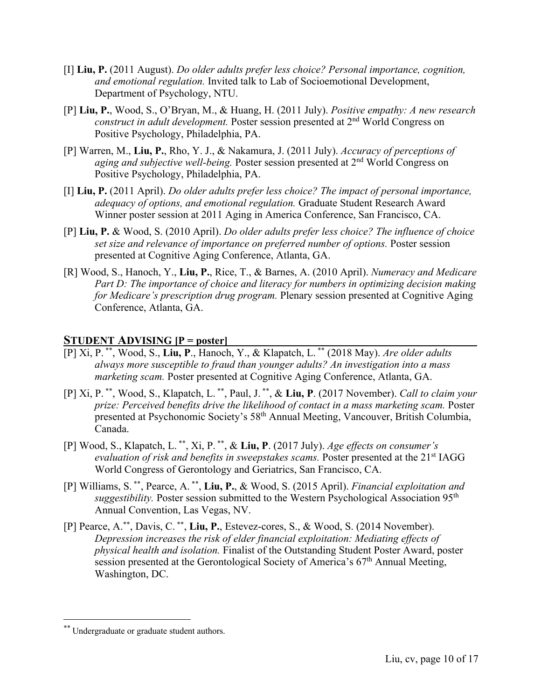- [I] **Liu, P.** (2011 August). *Do older adults prefer less choice? Personal importance, cognition, and emotional regulation.* Invited talk to Lab of Socioemotional Development, Department of Psychology, NTU.
- [P] **Liu, P.**, Wood, S., O'Bryan, M., & Huang, H. (2011 July). *Positive empathy: A new research construct in adult development.* Poster session presented at 2nd World Congress on Positive Psychology, Philadelphia, PA.
- [P] Warren, M., **Liu, P.**, Rho, Y. J., & Nakamura, J. (2011 July). *Accuracy of perceptions of aging and subjective well-being.* Poster session presented at 2nd World Congress on Positive Psychology, Philadelphia, PA.
- [I] **Liu, P.** (2011 April). *Do older adults prefer less choice? The impact of personal importance, adequacy of options, and emotional regulation.* Graduate Student Research Award Winner poster session at 2011 Aging in America Conference, San Francisco, CA.
- [P] **Liu, P.** & Wood, S. (2010 April). *Do older adults prefer less choice? The influence of choice set size and relevance of importance on preferred number of options.* Poster session presented at Cognitive Aging Conference, Atlanta, GA.
- [R] Wood, S., Hanoch, Y., **Liu, P.**, Rice, T., & Barnes, A. (2010 April). *Numeracy and Medicare Part D: The importance of choice and literacy for numbers in optimizing decision making for Medicare's prescription drug program.* Plenary session presented at Cognitive Aging Conference, Atlanta, GA.

#### **STUDENT ADVISING [P = poster]**

- [P] Xi, P. \*\* , Wood, S., **Liu, P**., Hanoch, Y., & Klapatch, L. \*\* (2018 May). *Are older adults always more susceptible to fraud than younger adults? An investigation into a mass marketing scam.* Poster presented at Cognitive Aging Conference, Atlanta, GA.
- [P] Xi, P. \*\*, Wood, S., Klapatch, L. \*\*, Paul, J. \*\*, & **Liu, P**. (2017 November). *Call to claim your prize: Perceived benefits drive the likelihood of contact in a mass marketing scam.* Poster presented at Psychonomic Society's 58th Annual Meeting, Vancouver, British Columbia, Canada.
- [P] Wood, S., Klapatch, L. \*\*, Xi, P. \*\*, & **Liu, P**. (2017 July). *Age effects on consumer's*  evaluation of risk and benefits in sweepstakes scams. Poster presented at the 21<sup>st</sup> IAGG World Congress of Gerontology and Geriatrics, San Francisco, CA.
- [P] Williams, S. \*\*, Pearce, A. \*\*, **Liu, P.**, & Wood, S. (2015 April). *Financial exploitation and suggestibility*. Poster session submitted to the Western Psychological Association 95<sup>th</sup> Annual Convention, Las Vegas, NV.
- [P] Pearce, A.\*\* , Davis, C. \*\*, **Liu, P.**, Estevez-cores, S., & Wood, S. (2014 November). *Depression increases the risk of elder financial exploitation: Mediating effects of physical health and isolation.* Finalist of the Outstanding Student Poster Award, poster session presented at the Gerontological Society of America's  $67<sup>th</sup>$  Annual Meeting, Washington, DC.

 <sup>\*\*</sup> Undergraduate or graduate student authors.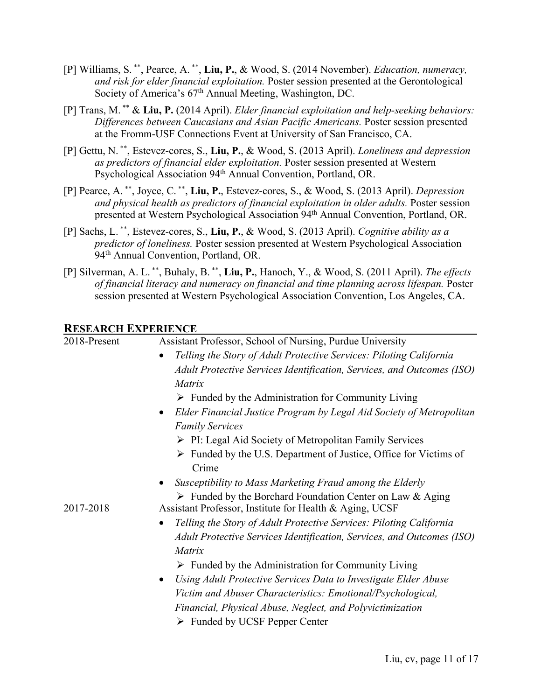- [P] Williams, S. \*\*, Pearce, A. \*\*, **Liu, P.**, & Wood, S. (2014 November). *Education, numeracy, and risk for elder financial exploitation.* Poster session presented at the Gerontological Society of America's 67<sup>th</sup> Annual Meeting, Washington, DC.
- [P] Trans, M. \*\* & **Liu, P.** (2014 April). *Elder financial exploitation and help-seeking behaviors: Differences between Caucasians and Asian Pacific Americans.* Poster session presented at the Fromm-USF Connections Event at University of San Francisco, CA.
- [P] Gettu, N. \*\*, Estevez-cores, S., **Liu, P.**, & Wood, S. (2013 April). *Loneliness and depression as predictors of financial elder exploitation.* Poster session presented at Western Psychological Association 94<sup>th</sup> Annual Convention, Portland, OR.
- [P] Pearce, A. \*\*, Joyce, C. \*\*, **Liu, P.**, Estevez-cores, S., & Wood, S. (2013 April). *Depression and physical health as predictors of financial exploitation in older adults.* Poster session presented at Western Psychological Association 94th Annual Convention, Portland, OR.
- [P] Sachs, L. \*\*, Estevez-cores, S., **Liu, P.**, & Wood, S. (2013 April). *Cognitive ability as a predictor of loneliness.* Poster session presented at Western Psychological Association 94<sup>th</sup> Annual Convention, Portland, OR.
- [P] Silverman, A. L. \*\*, Buhaly, B. \*\*, **Liu, P.**, Hanoch, Y., & Wood, S. (2011 April). *The effects of financial literacy and numeracy on financial and time planning across lifespan.* Poster session presented at Western Psychological Association Convention, Los Angeles, CA.

#### **RESEARCH EXPERIENCE**

| 2018-Present | Assistant Professor, School of Nursing, Purdue University                                                                           |  |  |
|--------------|-------------------------------------------------------------------------------------------------------------------------------------|--|--|
|              | Telling the Story of Adult Protective Services: Piloting California<br>$\bullet$                                                    |  |  |
|              | Adult Protective Services Identification, Services, and Outcomes (ISO)                                                              |  |  |
|              | Matrix                                                                                                                              |  |  |
|              | $\triangleright$ Funded by the Administration for Community Living                                                                  |  |  |
|              | Elder Financial Justice Program by Legal Aid Society of Metropolitan<br>$\bullet$                                                   |  |  |
|              | <b>Family Services</b>                                                                                                              |  |  |
|              | $\triangleright$ PI: Legal Aid Society of Metropolitan Family Services                                                              |  |  |
|              | $\triangleright$ Funded by the U.S. Department of Justice, Office for Victims of<br>Crime                                           |  |  |
|              | Susceptibility to Mass Marketing Fraud among the Elderly                                                                            |  |  |
| 2017-2018    | $\triangleright$ Funded by the Borchard Foundation Center on Law & Aging<br>Assistant Professor, Institute for Health & Aging, UCSF |  |  |
|              | Telling the Story of Adult Protective Services: Piloting California<br>$\bullet$                                                    |  |  |
|              | Adult Protective Services Identification, Services, and Outcomes (ISO)                                                              |  |  |
|              | Matrix                                                                                                                              |  |  |
|              | $\triangleright$ Funded by the Administration for Community Living                                                                  |  |  |
|              | Using Adult Protective Services Data to Investigate Elder Abuse<br>$\bullet$                                                        |  |  |
|              | Victim and Abuser Characteristics: Emotional/Psychological,                                                                         |  |  |
|              | Financial, Physical Abuse, Neglect, and Polyvictimization                                                                           |  |  |
|              | $\triangleright$ Funded by UCSF Pepper Center                                                                                       |  |  |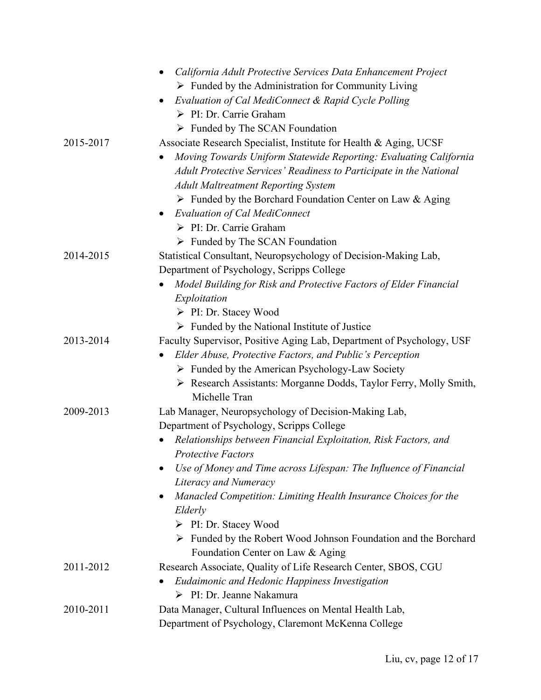|           | California Adult Protective Services Data Enhancement Project                  |
|-----------|--------------------------------------------------------------------------------|
|           | $\triangleright$ Funded by the Administration for Community Living             |
|           | Evaluation of Cal MediConnect & Rapid Cycle Polling                            |
|           | > PI: Dr. Carrie Graham                                                        |
|           | $\triangleright$ Funded by The SCAN Foundation                                 |
| 2015-2017 | Associate Research Specialist, Institute for Health & Aging, UCSF              |
|           | Moving Towards Uniform Statewide Reporting: Evaluating California              |
|           | Adult Protective Services' Readiness to Participate in the National            |
|           | <b>Adult Maltreatment Reporting System</b>                                     |
|           | $\triangleright$ Funded by the Borchard Foundation Center on Law & Aging       |
|           | <b>Evaluation of Cal MediConnect</b><br>$\bullet$                              |
|           | > PI: Dr. Carrie Graham                                                        |
|           | $\triangleright$ Funded by The SCAN Foundation                                 |
| 2014-2015 | Statistical Consultant, Neuropsychology of Decision-Making Lab,                |
|           | Department of Psychology, Scripps College                                      |
|           | Model Building for Risk and Protective Factors of Elder Financial              |
|           | Exploitation                                                                   |
|           | $\triangleright$ PI: Dr. Stacey Wood                                           |
|           | $\triangleright$ Funded by the National Institute of Justice                   |
| 2013-2014 | Faculty Supervisor, Positive Aging Lab, Department of Psychology, USF          |
|           | Elder Abuse, Protective Factors, and Public's Perception<br>$\bullet$          |
|           | $\triangleright$ Funded by the American Psychology-Law Society                 |
|           | > Research Assistants: Morganne Dodds, Taylor Ferry, Molly Smith,              |
|           | Michelle Tran                                                                  |
| 2009-2013 | Lab Manager, Neuropsychology of Decision-Making Lab,                           |
|           | Department of Psychology, Scripps College                                      |
|           | Relationships between Financial Exploitation, Risk Factors, and<br>٠           |
|           | <b>Protective Factors</b>                                                      |
|           | Use of Money and Time across Lifespan: The Influence of Financial              |
|           | Literacy and Numeracy                                                          |
|           | Manacled Competition: Limiting Health Insurance Choices for the                |
|           | Elderly                                                                        |
|           | $\triangleright$ PI: Dr. Stacey Wood                                           |
|           | $\triangleright$ Funded by the Robert Wood Johnson Foundation and the Borchard |
|           | Foundation Center on Law & Aging                                               |
| 2011-2012 | Research Associate, Quality of Life Research Center, SBOS, CGU                 |
|           | Eudaimonic and Hedonic Happiness Investigation<br>> PI: Dr. Jeanne Nakamura    |
|           |                                                                                |
| 2010-2011 | Data Manager, Cultural Influences on Mental Health Lab,                        |
|           | Department of Psychology, Claremont McKenna College                            |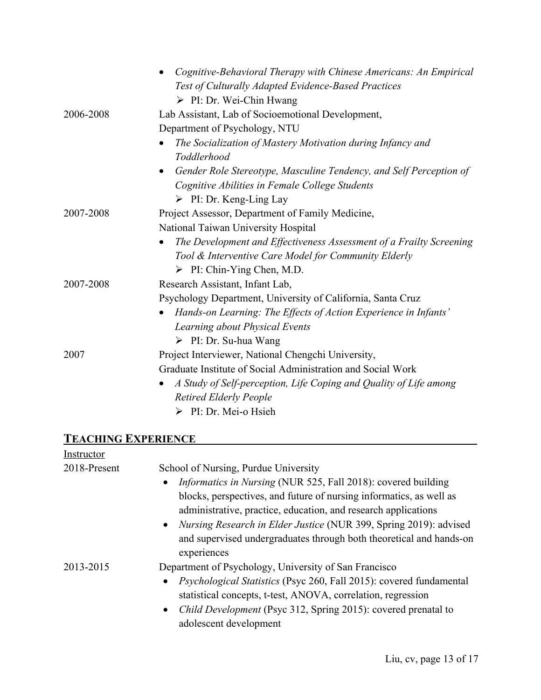|           | Cognitive-Behavioral Therapy with Chinese Americans: An Empirical<br>Test of Culturally Adapted Evidence-Based Practices |
|-----------|--------------------------------------------------------------------------------------------------------------------------|
|           | $\triangleright$ PI: Dr. Wei-Chin Hwang                                                                                  |
| 2006-2008 | Lab Assistant, Lab of Socioemotional Development,                                                                        |
|           | Department of Psychology, NTU                                                                                            |
|           | The Socialization of Mastery Motivation during Infancy and                                                               |
|           | Toddlerhood                                                                                                              |
|           | Gender Role Stereotype, Masculine Tendency, and Self Perception of<br>$\bullet$                                          |
|           | Cognitive Abilities in Female College Students                                                                           |
|           | $\triangleright$ PI: Dr. Keng-Ling Lay                                                                                   |
| 2007-2008 | Project Assessor, Department of Family Medicine,                                                                         |
|           | National Taiwan University Hospital                                                                                      |
|           | The Development and Effectiveness Assessment of a Frailty Screening<br>$\bullet$                                         |
|           | Tool & Interventive Care Model for Community Elderly                                                                     |
|           | $\triangleright$ PI: Chin-Ying Chen, M.D.                                                                                |
| 2007-2008 | Research Assistant, Infant Lab,                                                                                          |
|           | Psychology Department, University of California, Santa Cruz                                                              |
|           | Hands-on Learning: The Effects of Action Experience in Infants'                                                          |
|           | Learning about Physical Events                                                                                           |
|           | $\triangleright$ PI: Dr. Su-hua Wang                                                                                     |
| 2007      | Project Interviewer, National Chengchi University,                                                                       |
|           | Graduate Institute of Social Administration and Social Work                                                              |
|           | A Study of Self-perception, Life Coping and Quality of Life among<br>$\bullet$                                           |
|           | <b>Retired Elderly People</b>                                                                                            |
|           | > PI: Dr. Mei-o Hsieh                                                                                                    |
|           |                                                                                                                          |

# **TEACHING EXPERIENCE**

| Instructor   |                                                                                                                                                         |  |
|--------------|---------------------------------------------------------------------------------------------------------------------------------------------------------|--|
| 2018-Present | School of Nursing, Purdue University                                                                                                                    |  |
|              | <i>Informatics in Nursing</i> (NUR 525, Fall 2018): covered building<br>$\bullet$                                                                       |  |
|              | blocks, perspectives, and future of nursing informatics, as well as                                                                                     |  |
|              | administrative, practice, education, and research applications                                                                                          |  |
|              | Nursing Research in Elder Justice (NUR 399, Spring 2019): advised<br>$\bullet$                                                                          |  |
|              | and supervised undergraduates through both theoretical and hands-on                                                                                     |  |
|              | experiences                                                                                                                                             |  |
| 2013-2015    | Department of Psychology, University of San Francisco                                                                                                   |  |
|              | <i>Psychological Statistics</i> (Psyc 260, Fall 2015): covered fundamental<br>$\bullet$<br>statistical concepts, t-test, ANOVA, correlation, regression |  |
|              | Child Development (Psyc 312, Spring 2015): covered prenatal to<br>$\bullet$<br>adolescent development                                                   |  |
|              |                                                                                                                                                         |  |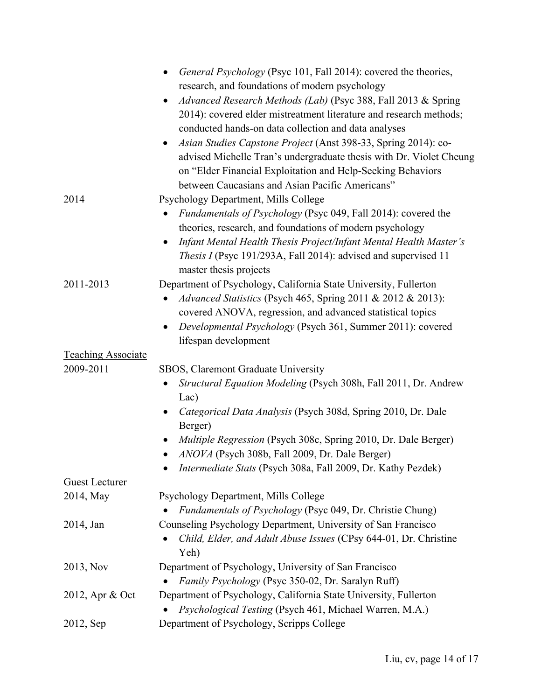|                           | General Psychology (Psyc 101, Fall 2014): covered the theories,<br>$\bullet$      |
|---------------------------|-----------------------------------------------------------------------------------|
|                           | research, and foundations of modern psychology                                    |
|                           | Advanced Research Methods (Lab) (Psyc 388, Fall 2013 & Spring<br>$\bullet$        |
|                           | 2014): covered elder mistreatment literature and research methods;                |
|                           | conducted hands-on data collection and data analyses                              |
|                           | Asian Studies Capstone Project (Anst 398-33, Spring 2014): co-<br>$\bullet$       |
|                           | advised Michelle Tran's undergraduate thesis with Dr. Violet Cheung               |
|                           | on "Elder Financial Exploitation and Help-Seeking Behaviors                       |
|                           | between Caucasians and Asian Pacific Americans"                                   |
| 2014                      | Psychology Department, Mills College                                              |
|                           |                                                                                   |
|                           | <i>Fundamentals of Psychology</i> (Psyc 049, Fall 2014): covered the<br>$\bullet$ |
|                           | theories, research, and foundations of modern psychology                          |
|                           | Infant Mental Health Thesis Project/Infant Mental Health Master's<br>$\bullet$    |
|                           | <i>Thesis I</i> (Psyc 191/293A, Fall 2014): advised and supervised 11             |
|                           | master thesis projects                                                            |
| 2011-2013                 | Department of Psychology, California State University, Fullerton                  |
|                           | Advanced Statistics (Psych 465, Spring 2011 & 2012 & 2013):                       |
|                           | covered ANOVA, regression, and advanced statistical topics                        |
|                           | Developmental Psychology (Psych 361, Summer 2011): covered<br>$\bullet$           |
|                           | lifespan development                                                              |
| <b>Teaching Associate</b> |                                                                                   |
| 2009-2011                 | SBOS, Claremont Graduate University                                               |
|                           | Structural Equation Modeling (Psych 308h, Fall 2011, Dr. Andrew                   |
|                           | Lac)                                                                              |
|                           | Categorical Data Analysis (Psych 308d, Spring 2010, Dr. Dale<br>$\bullet$         |
|                           | Berger)                                                                           |
|                           | Multiple Regression (Psych 308c, Spring 2010, Dr. Dale Berger)                    |
|                           | ANOVA (Psych 308b, Fall 2009, Dr. Dale Berger)<br>$\bullet$                       |
|                           | Intermediate Stats (Psych 308a, Fall 2009, Dr. Kathy Pezdek)                      |
| <b>Guest Lecturer</b>     |                                                                                   |
| 2014, May                 | Psychology Department, Mills College                                              |
|                           | Fundamentals of Psychology (Psyc 049, Dr. Christie Chung)                         |
| 2014, Jan                 | Counseling Psychology Department, University of San Francisco                     |
|                           | Child, Elder, and Adult Abuse Issues (CPsy 644-01, Dr. Christine                  |
|                           | Yeh)                                                                              |
| 2013, Nov                 | Department of Psychology, University of San Francisco                             |
|                           | Family Psychology (Psyc 350-02, Dr. Saralyn Ruff)                                 |
| 2012, Apr & Oct           | Department of Psychology, California State University, Fullerton                  |
|                           | Psychological Testing (Psych 461, Michael Warren, M.A.)                           |
| 2012, Sep                 | Department of Psychology, Scripps College                                         |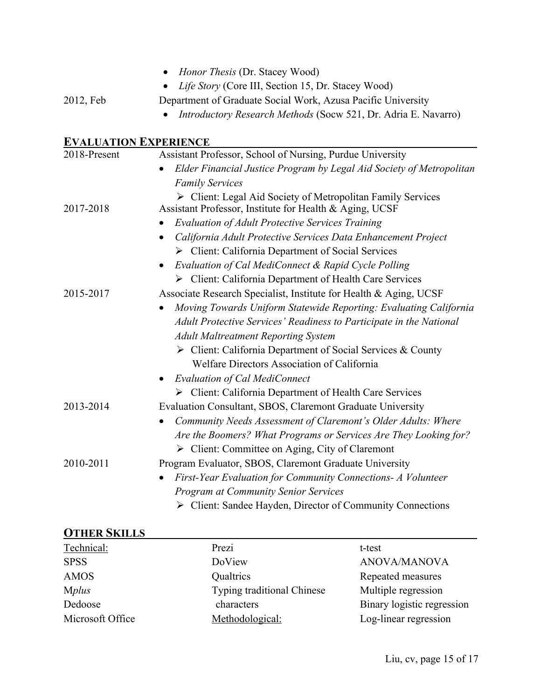|                              | Honor Thesis (Dr. Stacey Wood)                                                                                         |
|------------------------------|------------------------------------------------------------------------------------------------------------------------|
|                              | Life Story (Core III, Section 15, Dr. Stacey Wood)                                                                     |
| 2012, Feb                    | Department of Graduate Social Work, Azusa Pacific University                                                           |
|                              | Introductory Research Methods (Socw 521, Dr. Adria E. Navarro)                                                         |
| <b>EVALUATION EXPERIENCE</b> |                                                                                                                        |
| 2018-Present                 | Assistant Professor, School of Nursing, Purdue University                                                              |
|                              | Elder Financial Justice Program by Legal Aid Society of Metropolitan                                                   |
|                              | <b>Family Services</b>                                                                                                 |
| 2017-2018                    | > Client: Legal Aid Society of Metropolitan Family Services<br>Assistant Professor, Institute for Health & Aging, UCSF |
|                              | <b>Evaluation of Adult Protective Services Training</b>                                                                |
|                              | California Adult Protective Services Data Enhancement Project                                                          |
|                              | > Client: California Department of Social Services                                                                     |
|                              | Evaluation of Cal MediConnect & Rapid Cycle Polling                                                                    |
|                              | > Client: California Department of Health Care Services                                                                |
| 2015-2017                    | Associate Research Specialist, Institute for Health & Aging, UCSF                                                      |
|                              | Moving Towards Uniform Statewide Reporting: Evaluating California                                                      |
|                              | Adult Protective Services' Readiness to Participate in the National                                                    |
|                              | <b>Adult Maltreatment Reporting System</b>                                                                             |
|                              | > Client: California Department of Social Services & County                                                            |
|                              | Welfare Directors Association of California                                                                            |
|                              | <b>Evaluation of Cal MediConnect</b>                                                                                   |
|                              | > Client: California Department of Health Care Services                                                                |
| 2013-2014                    | Evaluation Consultant, SBOS, Claremont Graduate University                                                             |
|                              | Community Needs Assessment of Claremont's Older Adults: Where                                                          |
|                              | Are the Boomers? What Programs or Services Are They Looking for?                                                       |
|                              | $\triangleright$ Client: Committee on Aging, City of Claremont                                                         |
| 2010-2011                    | Program Evaluator, SBOS, Claremont Graduate University                                                                 |
|                              | First-Year Evaluation for Community Connections- A Volunteer                                                           |
|                              | <b>Program at Community Senior Services</b>                                                                            |
|                              | > Client: Sandee Hayden, Director of Community Connections                                                             |

## **OTHER SKILLS**

| <b>UTHER SKILLS</b> |                            |                            |
|---------------------|----------------------------|----------------------------|
| Technical:          | Prezi                      | t-test                     |
| <b>SPSS</b>         | DoView                     | <b>ANOVA/MANOVA</b>        |
| <b>AMOS</b>         | Qualtrics                  | Repeated measures          |
| <b>Mplus</b>        | Typing traditional Chinese | Multiple regression        |
| Dedoose             | characters                 | Binary logistic regression |
| Microsoft Office    | Methodological:            | Log-linear regression      |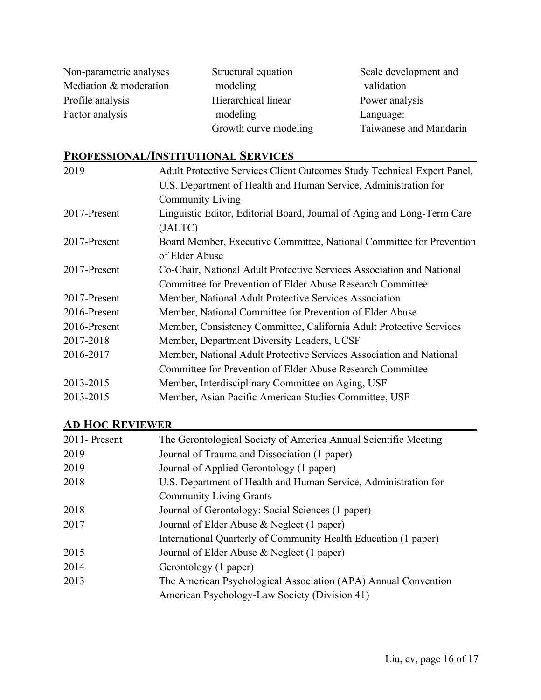| Non-parametric analyses | Structural equation   | Scale development and  |
|-------------------------|-----------------------|------------------------|
| Mediation & moderation  | modeling              | validation             |
| Profile analysis        | Hierarchical linear   | Power analysis         |
| Factor analysis         | modeling              | Language:              |
|                         | Growth curve modeling | Taiwanese and Mandarin |

## **PROFESSIONAL/INSTITUTIONAL SERVICES**

| Adult Protective Services Client Outcomes Study Technical Expert Panel, |  |
|-------------------------------------------------------------------------|--|
| U.S. Department of Health and Human Service, Administration for         |  |
| <b>Community Living</b>                                                 |  |
| Linguistic Editor, Editorial Board, Journal of Aging and Long-Term Care |  |
| (JALTC)                                                                 |  |
| Board Member, Executive Committee, National Committee for Prevention    |  |
| of Elder Abuse                                                          |  |
| Co-Chair, National Adult Protective Services Association and National   |  |
| Committee for Prevention of Elder Abuse Research Committee              |  |
| Member, National Adult Protective Services Association                  |  |
| Member, National Committee for Prevention of Elder Abuse                |  |
| Member, Consistency Committee, California Adult Protective Services     |  |
| Member, Department Diversity Leaders, UCSF                              |  |
| Member, National Adult Protective Services Association and National     |  |
| Committee for Prevention of Elder Abuse Research Committee              |  |
| Member, Interdisciplinary Committee on Aging, USF                       |  |
| Member, Asian Pacific American Studies Committee, USF                   |  |
|                                                                         |  |

## **AD HOC REVIEWER**

| 2011 - Present | The Gerontological Society of America Annual Scientific Meeting |
|----------------|-----------------------------------------------------------------|
| 2019           | Journal of Trauma and Dissociation (1 paper)                    |
| 2019           | Journal of Applied Gerontology (1 paper)                        |
| 2018           | U.S. Department of Health and Human Service, Administration for |
|                | <b>Community Living Grants</b>                                  |
| 2018           | Journal of Gerontology: Social Sciences (1 paper)               |
| 2017           | Journal of Elder Abuse & Neglect (1 paper)                      |
|                | International Quarterly of Community Health Education (1 paper) |
| 2015           | Journal of Elder Abuse & Neglect (1 paper)                      |
| 2014           | Gerontology (1 paper)                                           |
| 2013           | The American Psychological Association (APA) Annual Convention  |
|                | American Psychology-Law Society (Division 41)                   |